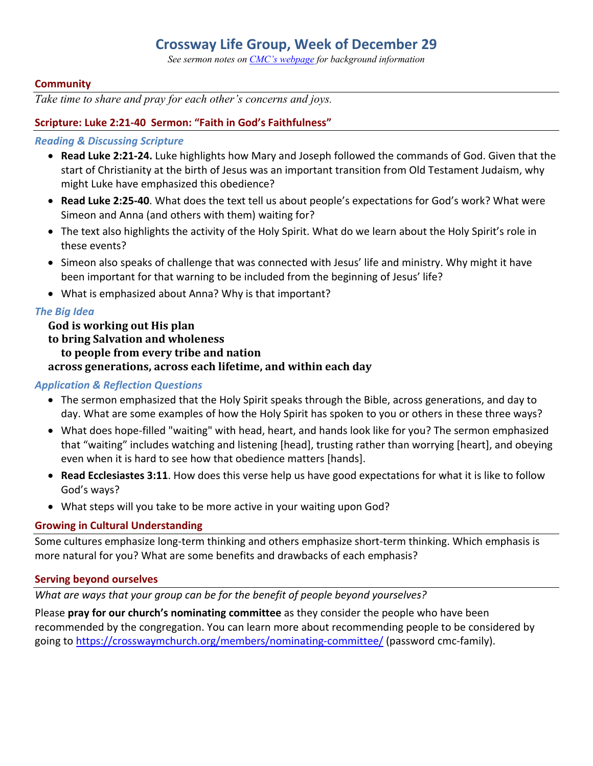# **Crossway Life Group, Week of December 29**

*See sermon notes on CMC's webpage for background information*

#### **Community**

*Take time to share and pray for each other's concerns and joys.*

#### **Scripture: Luke 2:21-40 Sermon: "Faith in God's Faithfulness"**

#### *Reading & Discussing Scripture*

- **Read Luke 2:21-24.** Luke highlights how Mary and Joseph followed the commands of God. Given that the start of Christianity at the birth of Jesus was an important transition from Old Testament Judaism, why might Luke have emphasized this obedience?
- **Read Luke 2:25-40**. What does the text tell us about people's expectations for God's work? What were Simeon and Anna (and others with them) waiting for?
- The text also highlights the activity of the Holy Spirit. What do we learn about the Holy Spirit's role in these events?
- Simeon also speaks of challenge that was connected with Jesus' life and ministry. Why might it have been important for that warning to be included from the beginning of Jesus' life?
- What is emphasized about Anna? Why is that important?

#### *The Big Idea*

God is working out His plan to bring Salvation and wholeness **to people from every tribe and nation** across generations, across each lifetime, and within each day

#### *Application & Reflection Questions*

- The sermon emphasized that the Holy Spirit speaks through the Bible, across generations, and day to day. What are some examples of how the Holy Spirit has spoken to you or others in these three ways?
- What does hope-filled "waiting" with head, heart, and hands look like for you? The sermon emphasized that "waiting" includes watching and listening [head], trusting rather than worrying [heart], and obeying even when it is hard to see how that obedience matters [hands].
- **Read Ecclesiastes 3:11**. How does this verse help us have good expectations for what it is like to follow God's ways?
- What steps will you take to be more active in your waiting upon God?

#### **Growing in Cultural Understanding**

Some cultures emphasize long-term thinking and others emphasize short-term thinking. Which emphasis is more natural for you? What are some benefits and drawbacks of each emphasis?

#### **Serving beyond ourselves**

*What are ways that your group can be for the benefit of people beyond yourselves?*

Please **pray for our church's nominating committee** as they consider the people who have been recommended by the congregation. You can learn more about recommending people to be considered by going to https://crosswaymchurch.org/members/nominating-committee/ (password cmc-family).